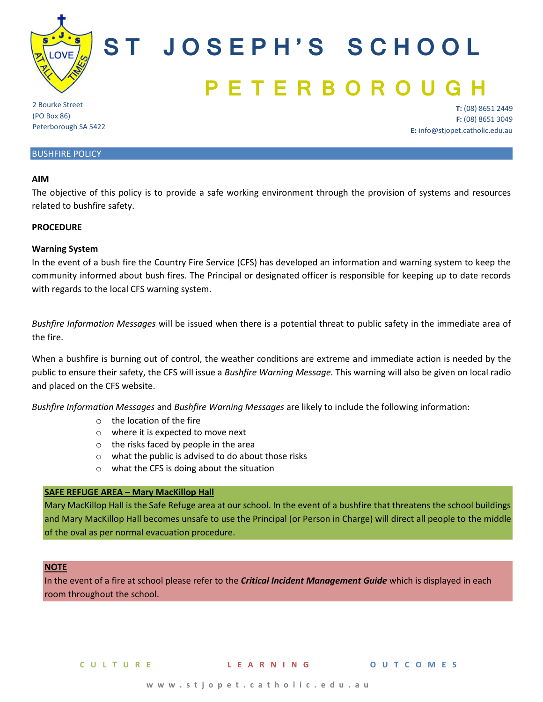

# **S T J O S E P H ' S S C H O O L P E T E R B O R**

2 Bourke Street (PO Box 86) Peterborough SA 5422

**T:** (08) 8651 2449 **F:** (08) 8651 3049 **E:** info@stjopet.catholic.edu.au

## BUSHFIRE POLICY

#### **AIM**

The objective of this policy is to provide a safe working environment through the provision of systems and resources related to bushfire safety.

#### **PROCEDURE**

## **Warning System**

In the event of a bush fire the Country Fire Service (CFS) has developed an information and warning system to keep the community informed about bush fires. The Principal or designated officer is responsible for keeping up to date records with regards to the local CFS warning system.

*Bushfire Information Messages* will be issued when there is a potential threat to public safety in the immediate area of the fire.

When a bushfire is burning out of control, the weather conditions are extreme and immediate action is needed by the public to ensure their safety, the CFS will issue a *Bushfire Warning Message.* This warning will also be given on local radio and placed on the CFS website.

*Bushfire Information Messages* and *Bushfire Warning Messages* are likely to include the following information:

- o the location of the fire
- o where it is expected to move next
- o the risks faced by people in the area
- o what the public is advised to do about those risks
- o what the CFS is doing about the situation

## **SAFE REFUGE AREA – Mary MacKillop Hall**

Mary MacKillop Hall is the Safe Refuge area at our school. In the event of a bushfire that threatens the school buildings and Mary MacKillop Hall becomes unsafe to use the Principal (or Person in Charge) will direct all people to the middle of the oval as per normal evacuation procedure.

#### **NOTE**

In the event of a fire at school please refer to the *Critical Incident Management Guide* which is displayed in each room throughout the school.

**C U L T U R E L E A R N I N G O U T C O M E S**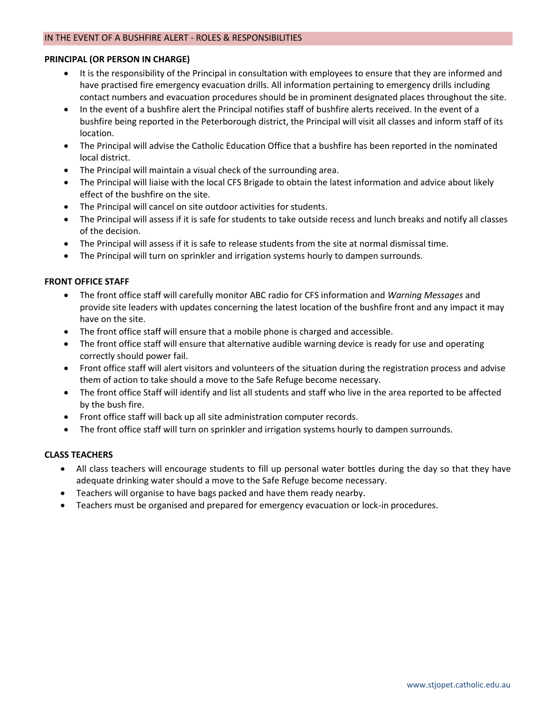# **PRINCIPAL (OR PERSON IN CHARGE)**

- It is the responsibility of the Principal in consultation with employees to ensure that they are informed and have practised fire emergency evacuation drills. All information pertaining to emergency drills including contact numbers and evacuation procedures should be in prominent designated places throughout the site.
- In the event of a bushfire alert the Principal notifies staff of bushfire alerts received. In the event of a bushfire being reported in the Peterborough district, the Principal will visit all classes and inform staff of its location.
- The Principal will advise the Catholic Education Office that a bushfire has been reported in the nominated local district.
- The Principal will maintain a visual check of the surrounding area.
- The Principal will liaise with the local CFS Brigade to obtain the latest information and advice about likely effect of the bushfire on the site.
- The Principal will cancel on site outdoor activities for students.
- The Principal will assess if it is safe for students to take outside recess and lunch breaks and notify all classes of the decision.
- The Principal will assess if it is safe to release students from the site at normal dismissal time.
- The Principal will turn on sprinkler and irrigation systems hourly to dampen surrounds.

# **FRONT OFFICE STAFF**

- The front office staff will carefully monitor ABC radio for CFS information and *Warning Messages* and provide site leaders with updates concerning the latest location of the bushfire front and any impact it may have on the site.
- The front office staff will ensure that a mobile phone is charged and accessible.
- The front office staff will ensure that alternative audible warning device is ready for use and operating correctly should power fail.
- Front office staff will alert visitors and volunteers of the situation during the registration process and advise them of action to take should a move to the Safe Refuge become necessary.
- The front office Staff will identify and list all students and staff who live in the area reported to be affected by the bush fire.
- Front office staff will back up all site administration computer records.
- The front office staff will turn on sprinkler and irrigation systems hourly to dampen surrounds.

# **CLASS TEACHERS**

- All class teachers will encourage students to fill up personal water bottles during the day so that they have adequate drinking water should a move to the Safe Refuge become necessary.
- Teachers will organise to have bags packed and have them ready nearby.
- Teachers must be organised and prepared for emergency evacuation or lock-in procedures.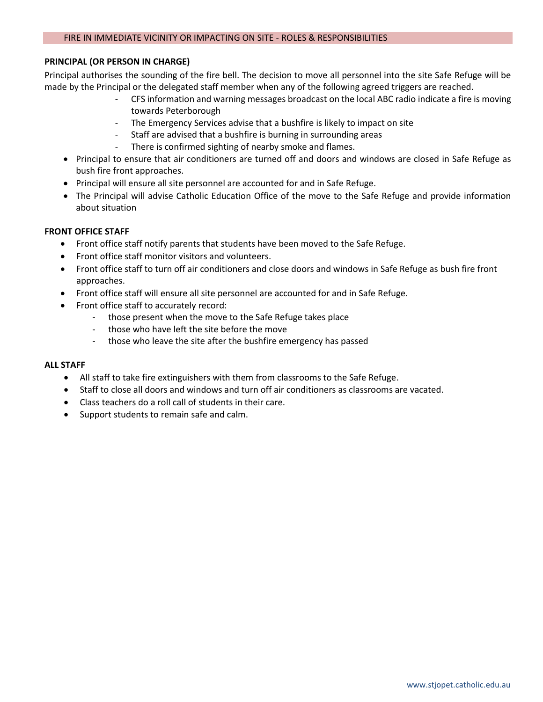## FIRE IN IMMEDIATE VICINITY OR IMPACTING ON SITE - ROLES & RESPONSIBILITIES

## **PRINCIPAL (OR PERSON IN CHARGE)**

Principal authorises the sounding of the fire bell. The decision to move all personnel into the site Safe Refuge will be made by the Principal or the delegated staff member when any of the following agreed triggers are reached.

- CFS information and warning messages broadcast on the local ABC radio indicate a fire is moving towards Peterborough
- The Emergency Services advise that a bushfire is likely to impact on site
- Staff are advised that a bushfire is burning in surrounding areas
- There is confirmed sighting of nearby smoke and flames.
- Principal to ensure that air conditioners are turned off and doors and windows are closed in Safe Refuge as bush fire front approaches.
- Principal will ensure all site personnel are accounted for and in Safe Refuge.
- The Principal will advise Catholic Education Office of the move to the Safe Refuge and provide information about situation

# **FRONT OFFICE STAFF**

- Front office staff notify parents that students have been moved to the Safe Refuge.
- Front office staff monitor visitors and volunteers.
- Front office staff to turn off air conditioners and close doors and windows in Safe Refuge as bush fire front approaches.
- Front office staff will ensure all site personnel are accounted for and in Safe Refuge.
- Front office staff to accurately record:
	- those present when the move to the Safe Refuge takes place
	- those who have left the site before the move
	- those who leave the site after the bushfire emergency has passed

## **ALL STAFF**

- All staff to take fire extinguishers with them from classrooms to the Safe Refuge.
- Staff to close all doors and windows and turn off air conditioners as classrooms are vacated.
- Class teachers do a roll call of students in their care.
- Support students to remain safe and calm.